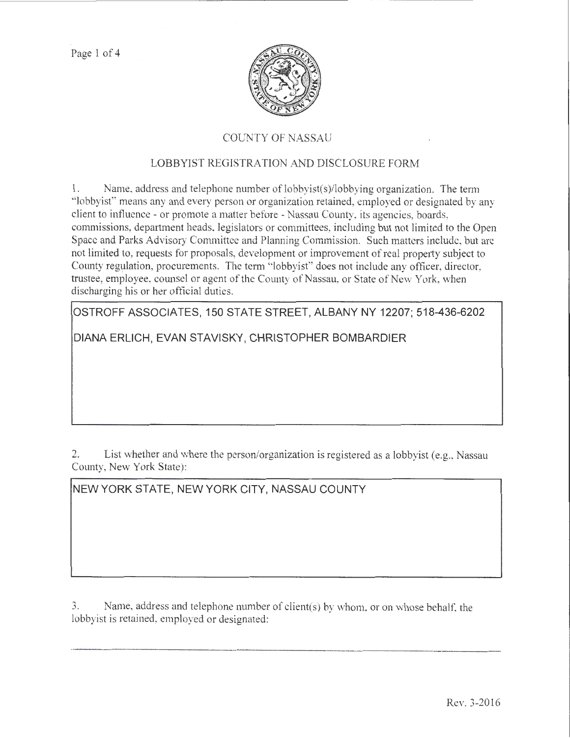Page 1 of 4



## COlJNTY OF NASSAU

## LOBBYIST REGISTRATION AND DISCLOStJRE FORM

I. Name, address and telephone number oflobbyist(s)/lobbying organization. The term "lobbyist" means any and every person or organization retained, employed or designated by any client to influence - or promote a matter before -Nassau County, its agencies, boards, commissions, department heads, legislators or committees, including but not limited to the Open Space and Parks Advisory Committee and Planning Commission. Such matters include, but arc not limited to, requests for proposals, development or improvement of real property subject to County regulation, procurements. The term ''lobbyist" does not include any officer, director. trustee, employee, counsel or agent of the County of Nassau, or State of New York, when discharging *his* or her official duties.

**OSTROFF ASSOCIATES, 150 STATE STREET, ALBANY NY 12207; 518-436-6202** 

**DIANA ERLICH, EVAN STAVISKY, CHRISTOPHER BOMBARDIER** 

2. List whether and where the person/organization is registered as a lobbyist (e.g., Nassau County, New York State):

**NEW YORK STATE, NEW YORK CITY, NASSAU COUNTY** 

3. Name, address and telephone number of client(s) by vvhom. or on whose behalf. the lobbyist is retained, employed or designated: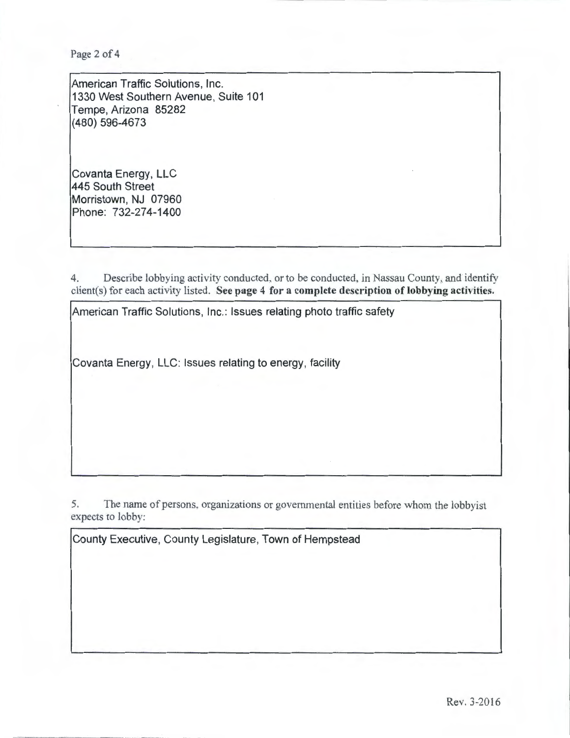Page 2 of 4

American Traffic Solutions, Inc. 1330 West Southern Avenue, Suite 101 Tempe, Arizona 85282 (480) 596-4673

Covanta Energy, LLC 445 South Street Morristown, NJ 07960 Phone: 732-274-1400

4. Describe lobbying activity conducted, or to be conducted, in Nassau County, and identify client(s) for each activity listed. See page 4 for a complete description of lobbying activities.

American Traffic Solutions, Inc.: Issues relating photo traffic safety

Covanta Energy, LLC: Issues relating to energy, facility

5. The name of persons, organizations or governmental entities before whom the lobbyist expects to lobby:

County Executive, County Legislature, Town of Hempstead

--------·-··-··--························----------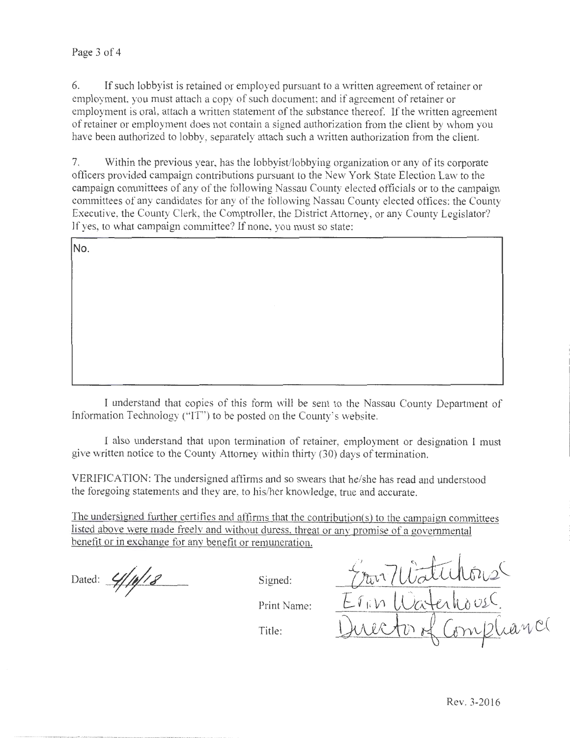6. If such lobbyist is retained or employed pursuant to a written agreement of retainer or employment, you must attach a copy of such document; and if agreement of retainer or employment is oral, attach a written statement of the substance thereof. If the written agreement of retainer or employment does not contain a signed authorization from the client by whom you have been authorized to lobby, separately attach such a written authorization from the client.

7. Within the previous year, has the lobbyist/lobbying organization or any of its corporate officers provided campaign contributions pursuant to the New York State Election Law to the campaign committees of any of the following Nassau County elected officials or to the campaign committees of any candidates for any of the following Nassau County elected offices: the County Executive, the County Clerk, the Comptroller, the District Attorney, or any County Legislator? lf yes, to what campaign committee? If none, you must so state:

No.

I understand that copies of this form will be sent to the Nassau County Department of Information Teclmology ("IT") to be posted on the County's website.

I also understand that upon termination of retainer, employment or designation 1 must give written notice to the County Attorney within thirty (30) days of termination.

VERIFICATION: The undersigned affirms and so swears that he/she has read and understood the foregoing statements and they are, to his/her knowledge, true and accurate.

The undersigned further certifies and affirms that the contribution(s) to the campaign committees listed above were made freelv and without duress, threat or any promise of a governmental benefit or in exchange for any benefit or remuneration.

Dated:  $\frac{4}{\sqrt{8}}$  Signed:

 $\label{eq:convergence} \begin{split} \mathcal{L}_{\text{G}}(\mathcal{L}_{\text{G}}) = \mathcal{L}_{\text{G}}(\mathcal{L}_{\text{G}}) = \mathcal{L}_{\text{G}}(\mathcal{L}_{\text{G}}) = \mathcal{L}_{\text{G}}(\mathcal{L}_{\text{G}}) = \mathcal{L}_{\text{G}}(\mathcal{L}_{\text{G}}) = \mathcal{L}_{\text{G}}(\mathcal{L}_{\text{G}}) = \mathcal{L}_{\text{G}}(\mathcal{L}_{\text{G}}) = \mathcal{L}_{\text{G}}(\mathcal{L}_{\text{G}}) = \mathcal{L}_{\text{G}}(\mathcal{$ 

Print Name:

Title:

Erin Watchous<br>Erin Watchouse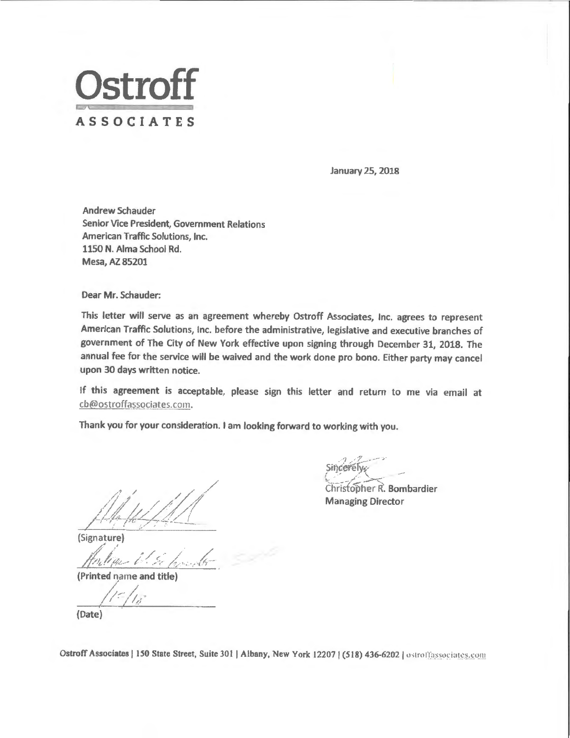

January 25, 2018

Andrew Schauder Senior Vice President, Government Relations American Traffic Solutions, Inc. 1150 N. Alma School Rd. Mesa, AZ 85201

Dear Mr. Schauder:

This letter will serve as an agreement whereby Ostroff *Associates,* Inc. agrees to represent American Traffic Solutions, Inc. before the administrative, legislative and executive branches of government of The City of New York effective upon signing through December *31,* 2018. The annual fee for the service will be waived and the work done pro bono. Either party may cancel upon 30 days written notice.

If this agreement is acceptable, please sign this letter and return to me via email at cb@ostroffassociates.com.

Thank you for your consideration. I am looking forward to working with you.

. , *?*  SincereTy  $\mathcal{L}$ 

christopher R'. Bombardier Managing Director

(Signature)

*./* .· / Hortique il de horiste

(Printed name and title)<br> $\sqrt{|\cdot|^2/|\cdot|^2}$  $\frac{1}{1}$   $\frac{1}{1}$ {Date)

Ostroff Associates | 150 State Street, Suite 301 | Albany, New York 12207 | (518) 436-6202 | ostroffassociates.com